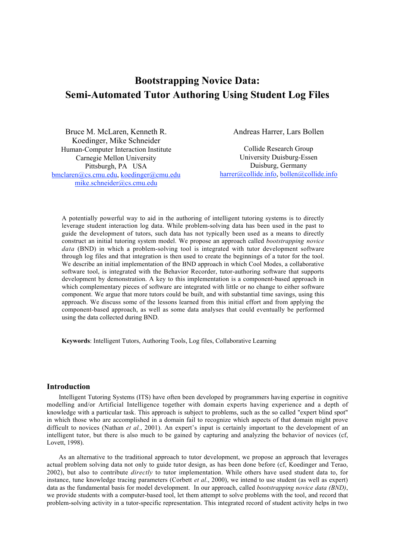# Bootstrapping Novice Data: Semi-Automated Tutor Authoring Using Student Log Files

Bruce M. McLaren, Kenneth R. Koedinger, Mike Schneider Human-Computer Interaction Institute Carnegie Mellon University Pittsburgh, PA USA bmclaren@cs.cmu.edu, koedinger@cmu.edu mike.schneider@cs.cmu.edu

Andreas Harrer, Lars Bollen

Collide Research Group University Duisburg-Essen Duisburg, Germany harrer@collide.info, bollen@collide.info

A potentially powerful way to aid in the authoring of intelligent tutoring systems is to directly leverage student interaction log data. While problem-solving data has been used in the past to guide the development of tutors, such data has not typically been used as a means to directly construct an initial tutoring system model. We propose an approach called *bootstrapping novice data* (BND) in which a problem-solving tool is integrated with tutor development software through log files and that integration is then used to create the beginnings of a tutor for the tool. We describe an initial implementation of the BND approach in which Cool Modes, a collaborative software tool, is integrated with the Behavior Recorder, tutor-authoring software that supports development by demonstration. A key to this implementation is a component-based approach in which complementary pieces of software are integrated with little or no change to either software component. We argue that more tutors could be built, and with substantial time savings, using this approach. We discuss some of the lessons learned from this initial effort and from applying the component-based approach, as well as some data analyses that could eventually be performed using the data collected during BND.

Keywords: Intelligent Tutors, Authoring Tools, Log files, Collaborative Learning

#### Introduction

Intelligent Tutoring Systems (ITS) have often been developed by programmers having expertise in cognitive modelling and/or Artificial Intelligence together with domain experts having experience and a depth of knowledge with a particular task. This approach is subject to problems, such as the so called "expert blind spot" in which those who are accomplished in a domain fail to recognize which aspects of that domain might prove difficult to novices (Nathan *et al.*, 2001). An expert's input is certainly important to the development of an intelligent tutor, but there is also much to be gained by capturing and analyzing the behavior of novices (cf, Lovett, 1998).

As an alternative to the traditional approach to tutor development, we propose an approach that leverages actual problem solving data not only to guide tutor design, as has been done before (cf, Koedinger and Terao, 2002), but also to contribute *directly* to tutor implementation. While others have used student data to, for instance, tune knowledge tracing parameters (Corbett *et al*., 2000), we intend to use student (as well as expert) data as the fundamental basis for model development. In our approach, called *bootstrapping novice data (BND)*, we provide students with a computer-based tool, let them attempt to solve problems with the tool, and record that problem-solving activity in a tutor-specific representation. This integrated record of student activity helps in two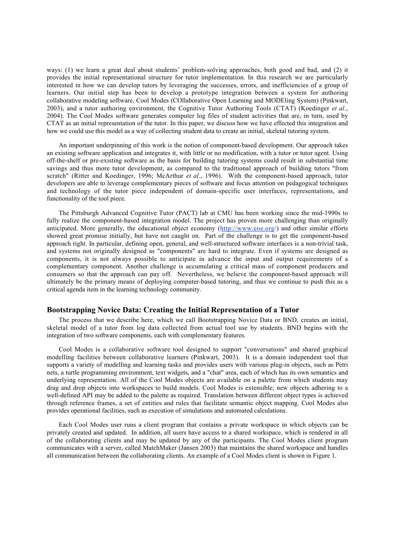ways: (1) we learn a great deal about students' problem-solving approaches, both good and bad, and (2) it provides the initial representational structure for tutor implementation. In this research we are particularly interested in how we can develop tutors by leveraging the successes, errors, and inefficiencies of a group of learners. Our initial step has been to develop a prototype integration between a system for authoring collaborative modeling software, Cool Modes (COllaborative Open Learning and MODEling System) (Pinkwart, 2003), and a tutor authoring environment, the Cognitive Tutor Authoring Tools (CTAT) (Koedinger *et al*., 2004). The Cool Modes software generates computer log files of student activities that are, in turn, used by CTAT as an initial representation of the tutor. In this paper, we discuss how we have effected this integration and how we could use this model as a way of collecting student data to create an initial, skeletal tutoring system.

An important underpinning of this work is the notion of component-based development. Our approach takes an existing software application and integrates it, with little or no modification, with a tutor or tutor agent. Using off-the-shelf or pre-existing software as the basis for building tutoring systems could result in substantial time savings and thus more tutor development, as compared to the traditional approach of building tutors "from scratch" (Ritter and Koedinger, 1996; McArthur *et al*., 1996). With the component-based approach, tutor developers are able to leverage complementary pieces of software and focus attention on pedagogical techniques and technology of the tutor piece independent of domain-specific user interfaces, representations, and functionality of the tool piece.

The Pittsburgh Advanced Cognitive Tutor (PACT) lab at CMU has been working since the mid-1990s to fully realize the component-based integration model. The project has proven more challenging than originally anticipated. More generally, the educational object economy (http://www.eoe.org/) and other similar efforts showed great promise initially, but have not caught on. Part of the challenge is to get the component-based approach right. In particular, defining open, general, and well-structured software interfaces is a non-trivial task, and systems not originally designed as "components" are hard to integrate. Even if systems are designed as components, it is not always possible to anticipate in advance the input and output requirements of a complementary component. Another challenge is accumulating a critical mass of component producers and consumers so that the approach can pay off. Nevertheless, we believe the component-based approach will ultimately be the primary means of deploying computer-based tutoring, and thus we continue to push this as a critical agenda item in the learning technology community.

# Bootstrapping Novice Data: Creating the Initial Representation of a Tutor

The process that we describe here, which we call Bootstrapping Novice Data or BND, creates an initial, skeletal model of a tutor from log data collected from actual tool use by students. BND begins with the integration of two software components, each with complementary features.

Cool Modes is a collaborative software tool designed to support "conversations" and shared graphical modelling facilities between collaborative learners (Pinkwart, 2003). It is a domain independent tool that supports a variety of modelling and learning tasks and provides users with various plug-in objects, such as Petri nets, a turtle programming environment, text widgets, and a "chat" area, each of which has its own semantics and underlying representation. All of the Cool Modes objects are available on a palette from which students may drag and drop objects into workspaces to build models. Cool Modes is extensible; new objects adhering to a well-defined API may be added to the palette as required. Translation between different object types is achieved through reference frames, a set of entities and rules that facilitate semantic object mapping. Cool Modes also provides operational facilities, such as execution of simulations and automated calculations.

Each Cool Modes user runs a client program that contains a private workspace in which objects can be privately created and updated. In addition, all users have access to a shared workspace, which is rendered in all of the collaborating clients and may be updated by any of the participants. The Cool Modes client program communicates with a server, called MatchMaker (Jansen 2003) that maintains the shared workspace and handles all communication between the collaborating clients. An example of a Cool Modes client is shown in Figure 1.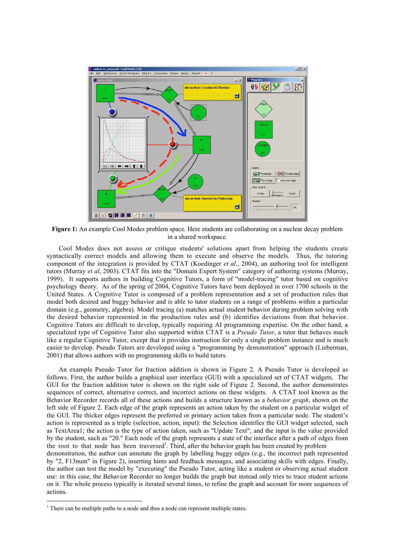

Figure 1: An example Cool Modes problem space. Here students are collaborating on a nuclear decay problem in a shared workspace.

Cool Modes does not assess or critique students' solutions apart from helping the students create syntactically correct models and allowing them to execute and observe the models. Thus, the tutoring component of the integration is provided by CTAT (Koedinger *et al*., 2004), an authoring tool for intelligent tutors (Murray *et al*, 2003). CTAT fits into the "Domain Expert System" category of authoring systems (Murray, 1999). It supports authors in building Cognitive Tutors, a form of "model-tracing" tutor based on cognitive psychology theory. As of the spring of 2004, Cognitive Tutors have been deployed in over 1700 schools in the United States. A Cognitive Tutor is composed of a problem representation and a set of production rules that model both desired and buggy behavior and is able to tutor students on a range of problems within a particular domain (e.g., geometry, algebra). Model tracing (a) matches actual student behavior during problem solving with the desired behavior represented in the production rules and (b) identifies deviations from that behavior. Cognitive Tutors are difficult to develop, typically requiring AI programming expertise. On the other hand, a specialized type of Cognitive Tutor also supported within CTAT is a *Pseudo Tutor*, a tutor that behaves much like a regular Cognitive Tutor, except that it provides instruction for only a single problem instance and is much easier to develop. Pseudo Tutors are developed using a "programming by demonstration" approach (Lieberman, 2001) that allows authors with no programming skills to build tutors.

An example Pseudo Tutor for fraction addition is shown in Figure 2. A Pseudo Tutor is developed as follows. First, the author builds a graphical user interface (GUI) with a specialized set of CTAT widgets. The GUI for the fraction addition tutor is shown on the right side of Figure 2. Second, the author demonstrates sequences of correct, alternative correct, and incorrect actions on these widgets. A CTAT tool known as the Behavior Recorder records all of these actions and builds a structure known as a *behavior graph*, shown on the left side of Figure 2. Each edge of the graph represents an action taken by the student on a particular widget of the GUI. The thicker edges represent the preferred or primary action taken from a particular node. The student's action is represented as a triple (selection, action, input): the Selection identifies the GUI widget selected, such as TextArea1; the action is the type of action taken, such as "Update Text"; and the input is the value provided by the student, such as "20." Each node of the graph represents a state of the interface after a path of edges from the root to that node has been traversed<sup>1</sup>. Third, after the behavior graph has been created by problem demonstration, the author can annotate the graph by labelling buggy edges (e.g., the incorrect path represented by "2, F13num" in Figure 2), inserting hints and feedback messages, and associating skills with edges. Finally, the author can test the model by "executing" the Pseudo Tutor, acting like a student or observing actual student use: in this case, the Behavior Recorder no longer builds the graph but instead only tries to trace student actions on it. The whole process typically is iterated several times, to refine the graph and account for more sequences of actions.

<sup>&</sup>lt;sup>1</sup> There can be multiple paths to a node and thus a node can represent multiple states.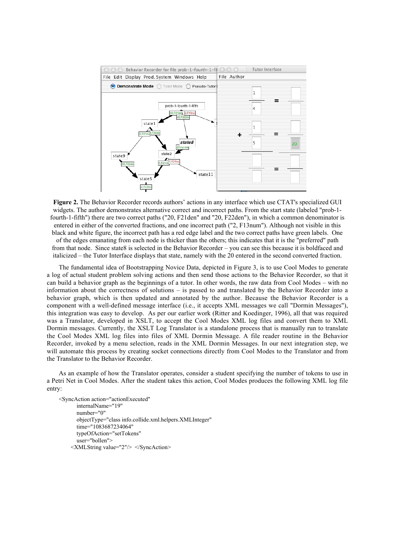

Figure 2. The Behavior Recorder records authors' actions in any interface which use CTAT's specialized GUI widgets. The author demonstrates alternative correct and incorrect paths. From the start state (labeled "prob-1 fourth-1-fifth") there are two correct paths ("20, F21den" and "20, F22den"), in which a common denominator is entered in either of the converted fractions, and one incorrect path ("2, F13num"). Although not visible in this black and white figure, the incorrect path has a red edge label and the two correct paths have green labels. One of the edges emanating from each node is thicker than the others; this indicates that it is the "preferred" path from that node. Since state8 is selected in the Behavior Recorder – you can see this because it is boldfaced and italicized – the Tutor Interface displays that state, namely with the 20 entered in the second converted fraction.

The fundamental idea of Bootstrapping Novice Data, depicted in Figure 3, is to use Cool Modes to generate a log of actual student problem solving actions and then send those actions to the Behavior Recorder, so that it can build a behavior graph as the beginnings of a tutor. In other words, the raw data from Cool Modes – with no information about the correctness of solutions – is passed to and translated by the Behavior Recorder into a behavior graph, which is then updated and annotated by the author. Because the Behavior Recorder is a component with a well-defined message interface (i.e., it accepts XML messages we call "Dormin Messages"), this integration was easy to develop. As per our earlier work (Ritter and Koedinger, 1996), all that was required was a Translator, developed in XSLT, to accept the Cool Modes XML log files and convert them to XML Dormin messages. Currently, the XSLT Log Translator is a standalone process that is manually run to translate the Cool Modes XML log files into files of XML Dormin Message. A file reader routine in the Behavior Recorder, invoked by a menu selection, reads in the XML Dormin Messages. In our next integration step, we will automate this process by creating socket connections directly from Cool Modes to the Translator and from the Translator to the Behavior Recorder.

As an example of how the Translator operates, consider a student specifying the number of tokens to use in a Petri Net in Cool Modes. After the student takes this action, Cool Modes produces the following XML log file entry:

```
<SyncAction action="actionExecuted"
       internalName="19"
       number="0"
       objectType="class info.collide.xml.helpers.XMLInteger"
       time="1083687234064"
       typeOfAction="setTokens"
       user="bollen">
    <XMLString value="2"/> </SyncAction>
```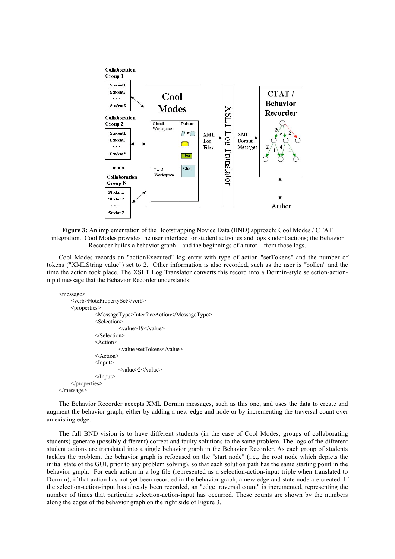

Figure 3: An implementation of the Bootstrapping Novice Data (BND) approach: Cool Modes / CTAT integration. Cool Modes provides the user interface for student activities and logs student actions; the Behavior Recorder builds a behavior graph – and the beginnings of a tutor – from those logs.

Cool Modes records an "actionExecuted" log entry with type of action "setTokens" and the number of tokens ("XMLString value") set to 2. Other information is also recorded, such as the user is "bollen" and the time the action took place. The XSLT Log Translator converts this record into a Dormin-style selection-actioninput message that the Behavior Recorder understands:

<message>

```
<verb>NotePropertySet</verb>
     <properties>
              <MessageType>InterfaceAction</MessageType>
              <Selection>
                       <value>19</value>
              </Selection>
              <Action>
                       <value>setTokens</value>
              </Action>
              <Input><value>2</value>
              \le/Input>
     </properties>
</message>
```
The Behavior Recorder accepts XML Dormin messages, such as this one, and uses the data to create and augment the behavior graph, either by adding a new edge and node or by incrementing the traversal count over an existing edge.

The full BND vision is to have different students (in the case of Cool Modes, groups of collaborating students) generate (possibly different) correct and faulty solutions to the same problem. The logs of the different student actions are translated into a single behavior graph in the Behavior Recorder. As each group of students tackles the problem, the behavior graph is refocused on the "start node" (i.e., the root node which depicts the initial state of the GUI, prior to any problem solving), so that each solution path has the same starting point in the behavior graph. For each action in a log file (represented as a selection-action-input triple when translated to Dormin), if that action has not yet been recorded in the behavior graph, a new edge and state node are created. If the selection-action-input has already been recorded, an "edge traversal count" is incremented, representing the number of times that particular selection-action-input has occurred. These counts are shown by the numbers along the edges of the behavior graph on the right side of Figure 3.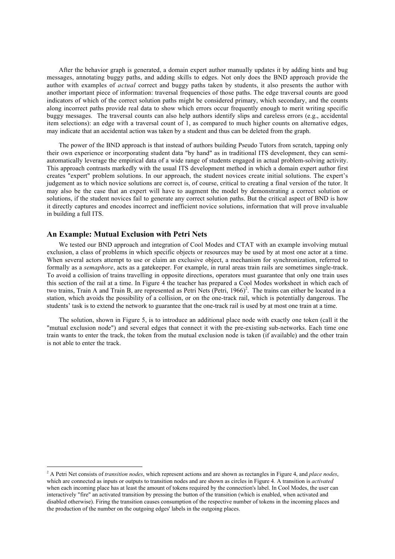After the behavior graph is generated, a domain expert author manually updates it by adding hints and bug messages, annotating buggy paths, and adding skills to edges. Not only does the BND approach provide the author with examples of *actual* correct and buggy paths taken by students, it also presents the author with another important piece of information: traversal frequencies of those paths. The edge traversal counts are good indicators of which of the correct solution paths might be considered primary, which secondary, and the counts along incorrect paths provide real data to show which errors occur frequently enough to merit writing specific buggy messages. The traversal counts can also help authors identify slips and careless errors (e.g., accidental item selections): an edge with a traversal count of 1, as compared to much higher counts on alternative edges, may indicate that an accidental action was taken by a student and thus can be deleted from the graph.

The power of the BND approach is that instead of authors building Pseudo Tutors from scratch, tapping only their own experience or incorporating student data "by hand" as in traditional ITS development, they can semiautomatically leverage the empirical data of a wide range of students engaged in actual problem-solving activity. This approach contrasts markedly with the usual ITS development method in which a domain expert author first creates "expert" problem solutions. In our approach, the student novices create initial solutions. The expert's judgement as to which novice solutions are correct is, of course, critical to creating a final version of the tutor. It may also be the case that an expert will have to augment the model by demonstrating a correct solution or solutions, if the student novices fail to generate any correct solution paths. But the critical aspect of BND is how it directly captures and encodes incorrect and inefficient novice solutions, information that will prove invaluable in building a full ITS.

### An Example: Mutual Exclusion with Petri Nets

We tested our BND approach and integration of Cool Modes and CTAT with an example involving mutual exclusion, a class of problems in which specific objects or resources may be used by at most one actor at a time. When several actors attempt to use or claim an exclusive object, a mechanism for synchronization, referred to formally as a *semaphore*, acts as a gatekeeper. For example, in rural areas train rails are sometimes single-track. To avoid a collision of trains travelling in opposite directions, operators must guarantee that only one train uses this section of the rail at a time. In Figure 4 the teacher has prepared a Cool Modes worksheet in which each of two trains, Train A and Train B, are represented as Petri Nets (Petri, 1966)<sup>2</sup>. The trains can either be located in a station, which avoids the possibility of a collision, or on the one-track rail, which is potentially dangerous. The students' task is to extend the network to guarantee that the one-track rail is used by at most one train at a time.

The solution, shown in Figure 5, is to introduce an additional place node with exactly one token (call it the "mutual exclusion node") and several edges that connect it with the pre-existing sub-networks. Each time one train wants to enter the track, the token from the mutual exclusion node is taken (if available) and the other train is not able to enter the track.

 <sup>2</sup> A Petri Net consists of *transition nodes*, which represent actions and are shown as rectangles in Figure 4, and *place nodes*, which are connected as inputs or outputs to transition nodes and are shown as circles in Figure 4. A transition is *activated* when each incoming place has at least the amount of tokens required by the connection's label. In Cool Modes, the user can interactively "fire" an activated transition by pressing the button of the transition (which is enabled, when activated and disabled otherwise). Firing the transition causes consumption of the respective number of tokens in the incoming places and the production of the number on the outgoing edges' labels in the outgoing places.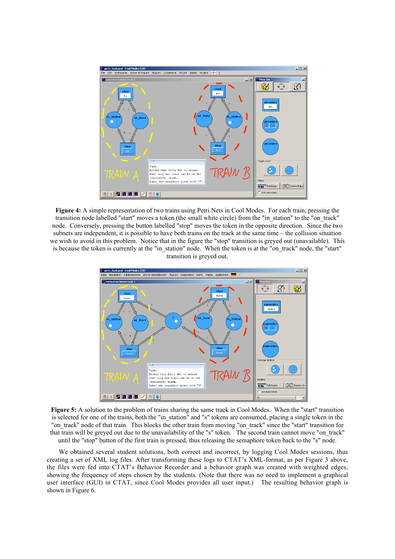

Figure 4: A simple representation of two trains using Petri Nets in Cool Modes. For each train, pressing the transition node labelled "start" moves a token (the small white circle) from the "in\_station" to the "on\_track" node. Conversely, pressing the button labelled "stop" moves the token in the opposite direction. Since the two subnets are independent, it is possible to have both trains on the track at the same time – the collision situation we wish to avoid in this problem. Notice that in the figure the "stop" transition is greyed out (unavailable). This is because the token is currently at the "in\_station" node. When the token is at the "on\_track" node, the "start" transition is greyed out.



Figure 5: A solution to the problem of trains sharing the same track in Cool Modes. When the "start" transition is selected for one of the trains, both the "in\_station" and "s" tokens are consumed, placing a single token in the "on track" node of that train. This blocks the other train from moving "on track" since the "start" transition for that train will be greyed out due to the unavailability of the "s" token. The second train cannot move "on\_track" until the "stop" button of the first train is pressed, thus releasing the semaphore token back to the "s" node.

We obtained several student solutions, both correct and incorrect, by logging Cool Modes sessions, thus creating a set of XML log files. After transforming these logs to CTAT's XML-format, as per Figure 3 above, the files were fed into CTAT's Behavior Recorder and a behavior graph was created with weighted edges, showing the frequency of steps chosen by the students. (Note that there was no need to implement a graphical user interface (GUI) in CTAT, since Cool Modes provides all user input.) The resulting behavior graph is shown in Figure 6.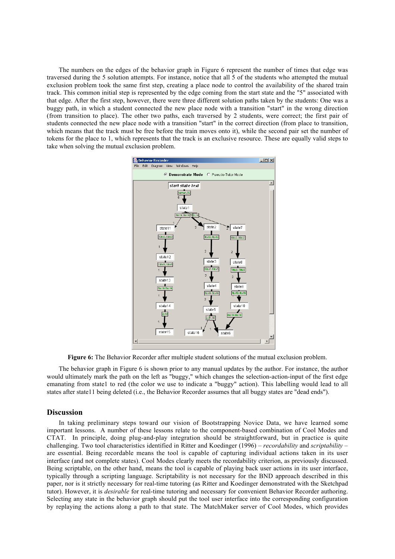The numbers on the edges of the behavior graph in Figure 6 represent the number of times that edge was traversed during the 5 solution attempts. For instance, notice that all 5 of the students who attempted the mutual exclusion problem took the same first step, creating a place node to control the availability of the shared train track. This common initial step is represented by the edge coming from the start state and the "5" associated with that edge. After the first step, however, there were three different solution paths taken by the students: One was a buggy path, in which a student connected the new place node with a transition "start" in the wrong direction (from transition to place). The other two paths, each traversed by 2 students, were correct; the first pair of students connected the new place node with a transition "start" in the correct direction (from place to transition, which means that the track must be free before the train moves onto it), while the second pair set the number of tokens for the place to 1, which represents that the track is an exclusive resource. These are equally valid steps to take when solving the mutual exclusion problem.



Figure 6: The Behavior Recorder after multiple student solutions of the mutual exclusion problem.

The behavior graph in Figure 6 is shown prior to any manual updates by the author. For instance, the author would ultimately mark the path on the left as "buggy," which changes the selection-action-input of the first edge emanating from state1 to red (the color we use to indicate a "buggy" action). This labelling would lead to all states after state11 being deleted (i.e., the Behavior Recorder assumes that all buggy states are "dead ends").

### **Discussion**

In taking preliminary steps toward our vision of Bootstrapping Novice Data, we have learned some important lessons. A number of these lessons relate to the component-based combination of Cool Modes and CTAT. In principle, doing plug-and-play integration should be straightforward, but in practice is quite challenging. Two tool characteristics identified in Ritter and Koedinger (1996) – *recordability* and *scriptability* – are essential. Being recordable means the tool is capable of capturing individual actions taken in its user interface (and not complete states). Cool Modes clearly meets the recordability criterion, as previously discussed. Being scriptable, on the other hand, means the tool is capable of playing back user actions in its user interface, typically through a scripting language. Scriptability is not necessary for the BND approach described in this paper, nor is it strictly necessary for real-time tutoring (as Ritter and Koedinger demonstrated with the Sketchpad tutor). However, it is *desirable* for real-time tutoring and necessary for convenient Behavior Recorder authoring. Selecting any state in the behavior graph should put the tool user interface into the corresponding configuration by replaying the actions along a path to that state. The MatchMaker server of Cool Modes, which provides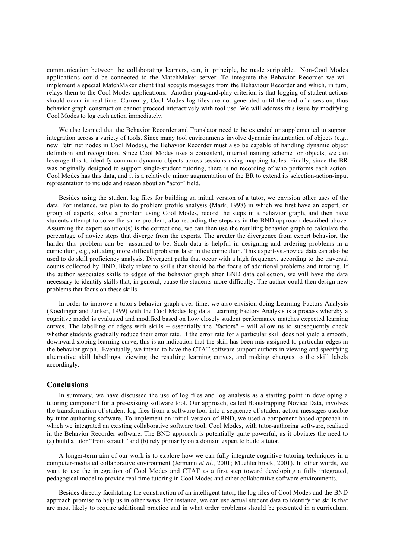communication between the collaborating learners, can, in principle, be made scriptable. Non-Cool Modes applications could be connected to the MatchMaker server. To integrate the Behavior Recorder we will implement a special MatchMaker client that accepts messages from the Behaviour Recorder and which, in turn, relays them to the Cool Modes applications. Another plug-and-play criterion is that logging of student actions should occur in real-time. Currently, Cool Modes log files are not generated until the end of a session, thus behavior graph construction cannot proceed interactively with tool use. We will address this issue by modifying Cool Modes to log each action immediately.

We also learned that the Behavior Recorder and Translator need to be extended or supplemented to support integration across a variety of tools. Since many tool environments involve dynamic instantiation of objects (e.g., new Petri net nodes in Cool Modes), the Behavior Recorder must also be capable of handling dynamic object definition and recognition. Since Cool Modes uses a consistent, internal naming scheme for objects, we can leverage this to identify common dynamic objects across sessions using mapping tables. Finally, since the BR was originally designed to support single-student tutoring, there is no recording of who performs each action. Cool Modes has this data, and it is a relatively minor augmentation of the BR to extend its selection-action-input representation to include and reason about an "actor" field.

Besides using the student log files for building an initial version of a tutor, we envision other uses of the data. For instance, we plan to do problem profile analysis (Mark, 1998) in which we first have an expert, or group of experts, solve a problem using Cool Modes, record the steps in a behavior graph, and then have students attempt to solve the same problem, also recording the steps as in the BND approach described above. Assuming the expert solution(s) is the correct one, we can then use the resulting behavior graph to calculate the percentage of novice steps that diverge from the experts. The greater the divergence from expert behavior, the harder this problem can be assumed to be. Such data is helpful in designing and ordering problems in a curriculum, e.g., situating more difficult problems later in the curriculum. This expert-vs.-novice data can also be used to do skill proficiency analysis. Divergent paths that occur with a high frequency, according to the traversal counts collected by BND, likely relate to skills that should be the focus of additional problems and tutoring. If the author associates skills to edges of the behavior graph after BND data collection, we will have the data necessary to identify skills that, in general, cause the students more difficulty. The author could then design new problems that focus on these skills.

In order to improve a tutor's behavior graph over time, we also envision doing Learning Factors Analysis (Koedinger and Junker, 1999) with the Cool Modes log data. Learning Factors Analysis is a process whereby a cognitive model is evaluated and modified based on how closely student performance matches expected learning curves. The labelling of edges with skills – essentially the "factors" – will allow us to subsequently check whether students gradually reduce their error rate. If the error rate for a particular skill does not yield a smooth, downward sloping learning curve, this is an indication that the skill has been mis-assigned to particular edges in the behavior graph. Eventually, we intend to have the CTAT software support authors in viewing and specifying alternative skill labellings, viewing the resulting learning curves, and making changes to the skill labels accordingly.

#### **Conclusions**

In summary, we have discussed the use of log files and log analysis as a starting point in developing a tutoring component for a pre-existing software tool. Our approach, called Bootstrapping Novice Data, involves the transformation of student log files from a software tool into a sequence of student-action messages useable by tutor authoring software. To implement an initial version of BND, we used a component-based approach in which we integrated an existing collaborative software tool, Cool Modes, with tutor-authoring software, realized in the Behavior Recorder software. The BND approach is potentially quite powerful, as it obviates the need to (a) build a tutor "from scratch" and (b) rely primarily on a domain expert to build a tutor.

A longer-term aim of our work is to explore how we can fully integrate cognitive tutoring techniques in a computer-mediated collaborative environment (Jermann *et al*., 2001; Muehlenbrock, 2001). In other words, we want to use the integration of Cool Modes and CTAT as a first step toward developing a fully integrated, pedagogical model to provide real-time tutoring in Cool Modes and other collaborative software environments.

Besides directly facilitating the construction of an intelligent tutor, the log files of Cool Modes and the BND approach promise to help us in other ways. For instance, we can use actual student data to identify the skills that are most likely to require additional practice and in what order problems should be presented in a curriculum.